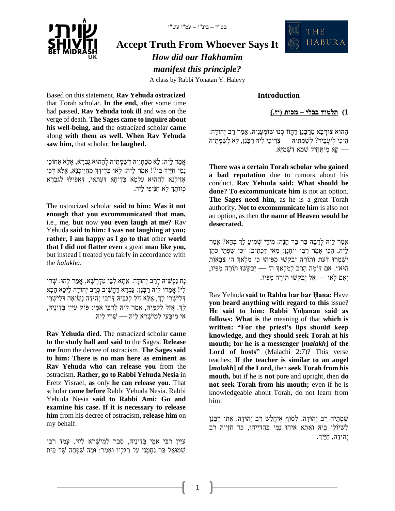

# **Accept Truth From Whoever Says It**

*How did our Hakhamim manifest this principle?*

A class by Rabbi Yonatan Y. Halevy

Based on this statement, **Rav Yehuda ostracized** that Torah scholar. **In the end,** after some time had passed, **Rav Yehuda took ill** and was on the verge of death. **The Sages came to inquire about his well-being, and** the ostracized scholar **came** along **with them as well. When Rav Yehuda saw him,** that scholar, **he laughed.**

אֲמַר לֵיהּ: לַא מִסַּתְיֵיהּ דִּשַׁמְּתֵיהּ לְהָהוּא גַּבְרָא, אֵלֵא אַחֹוֹכֵי נָמֵי חַיֵּיִךְ בִּי?! אֲמַר לִיהּ: לָאו בְּדִידָךְ מְחַיֵּיכְנָא, אֶלָּא דְּכִי אָזֵילְנָא לְהָהוּא עָלְמָא בְּדִיחָא דַעְתַּאי, דַאֲפִילּוּ לְגַבְרָא כְווֹתַךְ לָא חַנֵּיפִי לֵיהָ.

The ostracized scholar **said to him: Was it not enough that you excommunicated that man,** i.e., me, **but** now **you even laugh at me?** Rav Yehuda **said to him: I was not laughing at you; rather, I am happy as I go to that** other **world that I did not flatter even** a great **man like you,** but instead I treated you fairly in accordance with the *halakha*.

נִח נַפְשֵׁיה דְּרַב יְהוּדה. אֲתֹא לְבֵי מְדָרְשׁא, אֲמַר לְהוּ: שִׁרוֹ לִי! אֲמַ רּו לֵיּה רַ בָנַן: גַבְ רָ א דַ חֲׁשִ יב כְ רַ ב יְהּודָ ה לֵיכָא הָ כָא דְלִישְׁרֵי לְךָ, אֶלָּא זִיל לְגַבֵּיהּ דְּרַבִּי יְהוּדָה נְשִׂיאָה דְּלִישָׁרֵי לְךָ. אֲזַל לִקַמֵּיהּ, אֲמַר לִיהּ לְרַבִּי אֲמֵי: פּוֹק עַיֵּין בְּדִינֵיהּ, אִ י מִ יבְ עֵי לְמִ יׁשְ רֵ א לֵיּה — ׁשְ רִ י לֵיּה.

**Rav Yehuda died.** The ostracized scholar **came to the study hall and said** to the Sages: **Release me** from the decree of ostracism. **The Sages said to him: There is no man here as eminent as Rav Yehuda who can release you** from the ostracism. **Rather, go to Rabbi Yehuda Nesia** in Eretz Yisrael, **as** only **he can release you.** That scholar **came before** Rabbi Yehuda Nesia. Rabbi Yehuda Nesia **said to Rabbi Ami: Go and examine his case. If it is necessary to release him** from his decree of ostracism, **release him** on my behalf.

עַיֵּין רַבִּי אַמֵּי בְדִינֵיהּ, סְבַר לְמִישָׁרֵא לֵיהּ. עָמַד רַבִּי ׁשְ מּואֵ ל בַר נַחְ מָ נִי עַל רַ גְ לָיו וְאָ מַ ר: ּומָ ה ׁשִ פְ חָ ה ׁשֶ ל בֵ ית



**1( תלמוד בבלי – מכות ) יז. (** 

THE

**HABURA** 

הָהוּא צוּרְבָּא מֵרַבְּנַן דַּהֲוֹו סְנוּ שׁוּמְעָנֵיהּ, אַמַר רַב יְהוּדַה: הֵיכִ י לֶיעְ בֵיד? לְׁשַ מְ תֵ יּה — צְ רִ יכִ י לֵיּה רַ בָנַן, לָא לְ ׁשַ מְ תֵ יּה קָא מִיתְחִיל שָׁמַא דִשְׁמַיָּא.

**There was a certain Torah scholar who gained a bad reputation** due to rumors about his conduct. **Rav Yehuda said: What should be done? To excommunicate him** is not an option. **The Sages need him,** as he is a great Torah authority. **Not to excommunicate him** is also not an option, as then **the name of Heaven would be desecrated.**

אֲמַר לִי*ּה לְרַבָּה בַּר בַּר חָנָה: מִידֵּי שָׁמִיעַ ל*ַךְ בְּהָא? אֲמַר לִיּה, הַכִי אַמַר רַבִּי יוֹחֲנֵן: מַאי דִּכְתִיב: ״כִּי שִׂפְתֵי כֹהֶן יִשְׁמְרוּ דַעַת וְתוֹרָה יִבַקְשׁוּ מִפִּיהוּ כִּי מַלְאַךְ ה׳ צְבָאוֹת הּוא״. אִ ם דֹומֶ ה הָרַ ב לְמַ לְאַ ְך ה׳ — יְבַקְ ׁשּו תֹורָ ה מִ פִ יו, וְאִ ם לָאו — אַ ל יְבַקְ ׁשּו תֹורָ ה מִ פִ יו.

Rav Yehuda **said to Rabba bar bar Ḥana:** Have **you heard anything with regard to this** issue? **He said to him: Rabbi Yoḥanan said as follows: What is** the meaning of that **which is written: "For the priest's lips should keep knowledge, and they should seek Torah at his mouth; for he is a messenger [***malakh***] of the Lord of hosts"** (Malachi 2:7)? This verse teaches: **If the teacher is similar to an angel [***malakh***] of the Lord,** then **seek Torah from his mouth,** but if he is **not** pure and upright, then **do not seek Torah from his mouth;** even if he is knowledgeable about Torah, do not learn from him.

ׁשַ מְ תֵ יּה רַ ב יְהּודָ ה . לְ סֹוף אִ יחֲלַׁש רַ ב יְהּודָ ה . אֲתֹו רַ בָנַן לְשֵׁיּוֹלֵי בֵיהּ וַאֲתָא אִיהוּ נַמֵי בַּהֲדַיִיהוּ, כַּד חַזְיֵיהּ רַב יְהוּדָה, חַיֵּיִך.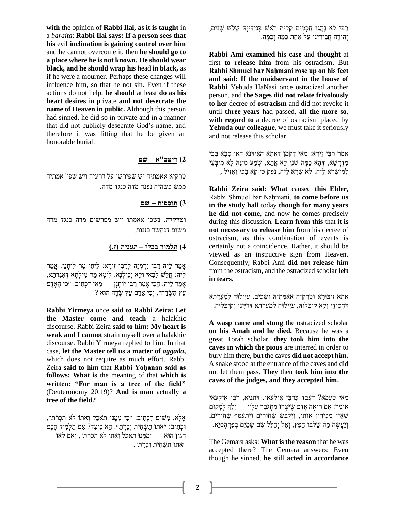**with** the opinion of **Rabbi Ilai, as it is taught** in a *baraita*: **Rabbi Ilai says: If a person sees that his** evil **inclination is gaining control over him** and he cannot overcome it, then **he should go to a place where he is not known. He should wear black, and he should wrap his** head **in black,** as if he were a mourner. Perhaps these changes will influence him, so that he not sin. Even if these actions do not help, **he should** at least **do as his heart desires** in private **and not desecrate the name of Heaven in public.** Although this person had sinned, he did so in private and in a manner that did not publicly desecrate God's name, and therefore it was fitting that he be given an honorable burial.

## **2( ריטב"א – שם**

טרקיא אאמתיה יש שפירשו על דרעיה ויש שפי' אמתיה ממש כשהיה נפנה מדה כנגד מדה.

#### **3( תוספות – שם**

**וטרקיה.** נשכו אאמתו ויש מפרשים מדה כנגד מדה משום דנחשד בזנות.

#### **4( תלמוד בבלי – תענית )ז .(**

אֲמַר לֵיהּ רַבִּי יִרְמְיָה לְרַבִּי זֵירָא: לֵיתֵי מָר לִיתְנֵי. אֲמַר לֵיּה: חֲלַׁש לִבַאי וְ לָא יָכֵילְנָא. לֵימָ א מָ ר מִ ילְתָ א דְ אַגַדְ תָ א, אֲמַר לִיהּ: הָכִי אָמַר רַבִּי יוֹחָנָן — מַאי דִּכְתִיב: ״כִּי הָאָדָם  $?$  עִין שַׂדֶה״, וְכִי אָדָם עֵץ שַׂדֶה

**Rabbi Yirmeya** once **said to Rabbi Zeira: Let the Master come and teach** a halakhic discourse. Rabbi Zeira **said to him: My heart is weak and I cannot** strain myself over a halakhic discourse. Rabbi Yirmeya replied to him: In that case, **let the Master tell us a matter of** *aggada***,** which does not require as much effort. Rabbi Zeira **said to him** that **Rabbi Yoḥanan said as follows: What is** the meaning of that **which is written: "For man is a tree of the field"** (Deuteronomy 20:19)? **And is man** actually **a tree of the field?**

אֶ לָא, מִ שּום דִ כְ תִ יב: ״כִ י מִ מֶ נּו תֹאכֵל וְאֹתֹו לֹא תִ כְ רֹת״, ּוכְ תִ יב: ״אֹתֹו תַ ׁשְ חִ ית וְכָרָ תָ ״. הָא כֵיצַד? אִ ם תַ לְמִ יד חָכָם הָ גּון הּוא — ״מִ מֶ נּו תֹאכֵל וְאֹתֹו לֹא תִ כְ רֹת״, וְאִ ם לָאו — ״אֹתוֹ תַשְׁחִית וְכִרְתִ".

ַרַבִּי לֹא נָהֲגוּ חֲכָמִים קַלּוּת רֹאֹשׁ בְּנִידּוּיָהּ שָׁלֹשׁ שָׁנִים, יְהוּדָה חַבֵירֵינוּ עַל אַחַת כַּמֶּה וְכַמֶּה.

**Rabbi Ami examined his case** and **thought** at first **to release him** from his ostracism. But **Rabbi Shmuel bar Naḥmani rose up on his feet and said: If the maidservant in the house of Rabbi** Yehuda HaNasi once ostracized another person, and **the Sages did not relate frivolously to her** decree of **ostracism** and did not revoke it until **three years** had passed, **all the more so, with regard to** a decree of ostracism placed by **Yehuda our colleague,** we must take it seriously and not release this scholar.

אֲמַר רַבִּי זֵירַא: מַאי דָקַמֵן דַאֲתָא הַאִידַנַא הַאי סַבָא בִּבֵי מִדְרְשָׁא, דְּהָא כַמָּה שְׁנֵי לָא אֲתָא, שְׁמַע מִינַּהּ לָא מִיבְעֵי לְמִ יׁשְ רֵ א לֵיּה. לָא ׁשְ רָ א לֵיּה, נְפַק כִ י קָא בָ כֵי וְאָ זֵיל ,

**Rabbi Zeira said: What** caused **this Elder,** Rabbi Shmuel bar Naḥmani, **to come before us in the study hall** today **though for many years he did not come,** and now he comes precisely during this discussion. **Learn from this** that **it is not necessary to release him** from his decree of ostracism, as this combination of events is certainly not a coincidence. Rather, it should be viewed as an instructive sign from Heaven. Consequently, Rabbi Ami **did not release him** from the ostracism, and the ostracized scholar **left in tears.**

אַתָא זִיבּוּרַא וְטַרְקֵיהּ אַאַמְתֵיהּ וּשְׁכֵיב. עַיִּילוּהּ לִמְעַרְתַּא דַ חֲסִ ידֵ י וְ לָא קַיבְ לּוּה, עַיְילּוּה לִמְ עָרְ תָ א דְ דַ יָינֵי וְ קַיבְ לּוּה.

**A wasp came and stung** the ostracized scholar **on his Amah and he died.** Because he was a great Torah scholar, **they took him into the caves in which the pious** are interred in order to bury him there, **but** the caves **did not accept him.** A snake stood at the entrance of the caves and did not let them pass. **They** then **took him into the caves of the judges, and they accepted him.**

מַאי טַעָמַא? דַעֲבַד כְּרַבִּי אִילְעַאי. דְּתַנְיַא, רַבִּי אִילְעַאי אֹומֵ ר: אִ ם רֹואֶ ה אָ דָ ם ׁשֶ יִצְ רֹו מִ תְ גַבֵר עָלָיו — יֵלְֵך לְמָ קֹום ֿשֶׁאֵין מַכִּירִין אוֹתוֹ, וְיִלְבַּשׁ שְׁחֹורִים וְיִתְעַטֵּף שָׁחוֹרִים, וְיַעֲשֶ ה מַ ה שֶ לִ בֹו חָפֵץ, וְאַ ל יְחַ לֵל ׁשֵ ם ׁשָ מַ יִם בְ פַרְ הֶסְ יָא.

The Gemara asks: **What is the reason** that he was accepted there? The Gemara answers: Even though he sinned, **he** still **acted in accordance**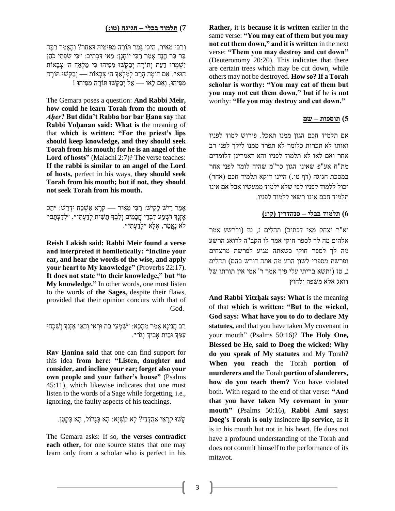**Rather,** it is **because it is written** earlier in the same verse: **"You may eat of them but you may not cut them down," and it is written** in the next verse: **"Them you may destroy and cut down"** (Deuteronomy 20:20). This indicates that there are certain trees which may be cut down, while others may not be destroyed. **How so? If a Torah scholar is worthy: "You may eat of them but you may not cut them down," but if** he is **not** worthy: **"He you may destroy and cut down."**

## **5( תוספות – שם**

אם תלמיד חכם הגון ממנו תאכל . פירוש למוד לפניו ואותו לא תכרות כלומר לא תפרד ממנו לילך לפני רב אחר ואם לאו לא תלמוד לפניו והא דאמרינן דלומדים מת"ח אע"פ שאינו הגון כר"מ שהיה לומד לפני אחר במסכת חגיגה )דף טו. ( היינו דוקא תלמיד חכם )אחר( יכול ללמוד לפניו לפי שלא ילמוד ממעשיו אבל אם אינו תלמיד חכם אינו רשאי ללמוד לפניו.

## **6( תלמוד בבלי – סנהדרין )קו:(**

וא"ר יצחק מאי דכתיב ) תהלים נ, טז (ולרשע אמר אלהים מה לך לספר חוקי אמר לו הקב"ה לדואג הרשע מה לך לספר חוקי כשאתה מגיע לפרשת מרצחים ופרשת מספרי לשון הרע מה אתה דורש בהם ) תהלים נ, טז (ותשא בריתי עלי פיך אמר ר' אמי אין תורתו של דואג אלא משפה ולחוץ

**And Rabbi Yitzḥak says: What** is the meaning of that **which is written: "But to the wicked, God says: What have you to do to declare My statutes,** and that you have taken My covenant in your mouth" (Psalms 50:16)? **The Holy One, Blessed be He, said to Doeg the wicked: Why do you speak of My statutes** and My Torah? **When you reach** the Torah **portion of murderers and** the Torah **portion of slanderers, how do you teach them?** You have violated both. With regard to the end of that verse: **"And that you have taken My covenant in your mouth"** (Psalms 50:16), **Rabbi Ami says: Doeg's Torah is only** insincere **lip service,** as it is in his mouth but not in his heart. He does not have a profound understanding of the Torah and does not commit himself to the performance of its mitzvot.

## **7( תלמוד בבלי – חגיגה )ט ו:(**

וְרַבִּי מֵאִיר, הֵיכִי גְּמַר תּוֹרָה מִפּוּמֵיהּ דְאַחֵר? וְהָאָמַר רַבָּה בַר בַּר חָנָה אָמַר רַבִּי יוֹחֲנַן: מַאי דִכְתִיב: ״כִּי שָׂפְתֵי כֹהֵן יִשְׁמְרוּ דַעַת וְתוֹרָה יִבַקְשׁוּ מִפִּיהוּ כִּי מַלְאַךְ ה׳ צְבָאוֹת הּוא״. אִ ם דֹומֶ ה הָרַ ב לְמַ לְ אַ ְך ה׳ צְ בָאֹות — יְבַקְ ׁשּו תֹורָ ה מִפִּיהוּ, וְאִם לַאו — אַל יְבַקְשׁוּ תּוֹרַה מִפִּיהוּ !

The Gemara poses a question: **And Rabbi Meir, how could he learn Torah from** the **mouth of**  *Aḥer***? But didn't Rabba bar bar Ḥana say** that **Rabbi Yoḥanan said: What is** the meaning of that **which is written: "For the priest's lips should keep knowledge, and they should seek Torah from his mouth; for he is an angel of the Lord of hosts"** (Malachi 2:7)? The verse teaches: **If the rabbi is similar to an angel of the Lord of hosts,** perfect in his ways, **they should seek Torah from his mouth; but if not, they should not seek Torah from his mouth.**

אָמַר רֵישׁ לַקִישׁ: רַבִּי מֵאִיר — קְרֵא אַשָׁכַּח וּדְרַשׁ: ״הַט ּאָזְנְךְ וּשְׁמַע דִּבְרֵי חֲכָמִים וְלִבְּךָ תָּשִׁית לְדַעְתִּי״, ״לְדַעְתָּם״ לֹא נֶאֱמַר, אֶלָּא ״לְדַעְתִּי״.

**Reish Lakish said: Rabbi Meir found a verse and interpreted it homiletically: "Incline your ear, and hear the words of the wise, and apply your heart to My knowledge"** (Proverbs 22:17). **It does not state "to their knowledge," but "to My knowledge."** In other words, one must listen to the words of **the Sages,** despite their flaws, provided that their opinion concurs with that of God.

רַב חֲנִינָא אָמַר מֵהָכָא: ״שִׁמְעִי בַת וּרְאִי וְהַטִּי אָזְנֵךְ וְשִׁכְחִי עַמֵ ְך ּובֵית אָבִ יְך וְגֹו׳״.

**Rav Ḥanina said** that one can find support for this idea **from here: "Listen, daughter and consider, and incline your ear; forget also your own people and your father's house"** (Psalms 45:11), which likewise indicates that one must listen to the words of a Sage while forgetting, i.e., ignoring, the faulty aspects of his teachings.

קָׁשּו קְרָ אֵ י אַ הֲדָ דֵ י? לָא קַׁשְ יָא: הָא בְ גָדֹול, הָא בְ קָטָן.

The Gemara asks: If so, **the verses contradict each other,** for one source states that one may learn only from a scholar who is perfect in his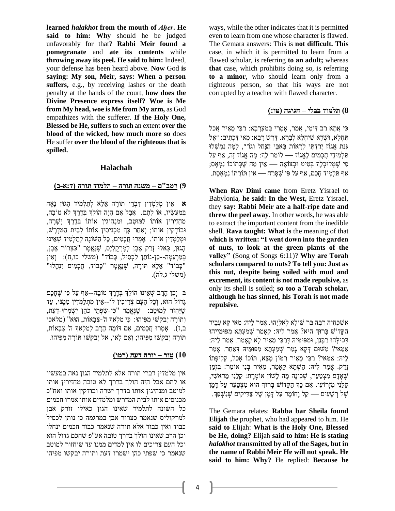**learned** *halakhot* **from the mouth of** *Aḥer***. He said to him: Why** should he be judged unfavorably for that? **Rabbi Meir found a pomegranate** and **ate its contents** while **throwing away its peel. He said to him:** Indeed, your defense has been heard above. **Now** God **is saying: My son, Meir, says: When a person suffers,** e.g., by receiving lashes or the death penalty at the hands of the court, **how does the Divine Presence express itself? Woe is Me from My head, woe is Me from My arm,** as God empathizes with the sufferer. **If the Holy One, Blessed be He, suffers** to **such** an extent **over the blood of the wicked, how much more so** does He suffer **over the blood of the righteous that is spilled.**

## **Halachah**

## **9( רמב"ם – משנה תורה – תלמוד תורה )ד:א-ב(**

**א** אֵ ין מְ לַמְ דִ ין דִ בְ רֵ י תֹורָ ה אֵ לָא לְתַ לְמִ יד הָ גּון נָאֶ ה בְּמַעֲשָׂיו, אוֹ לְתָם. אֲבָל אִם הָיָה הוֹלְךָ בְּדֶרֶךְ לֹא טוֹבָה, מַחָזִירִין אוֹתוֹ לַמּוּטַב, וּמַנְהִיגִין אוֹתוֹ בְדֶרֵךְ יִשָּׁרַה, ּובֹודְ קִין אֹותֹו; וְאַ חַר כְָך מַ כְ נִיסִ ין אֹותֹו לְבֵית הַמִ דְ רָ ׁש, וּמְלַמְדִין אֹותוֹ. אָמְרוּ חֲכָמִים, כָּל הַשּׁוֹנֶה לְתַלְמִיד שְׁאֵינוּ הָ גּון, כְ אִ לּו זָרַ ק אֶ בֶ ן לְמֶ רְ קֻ לְיָס, ׁשֶ נֶאֱמָ ר "כִ צְ רֹור אֶ בֶ ן, בְמַרְגֵמָה--כֵּן-נוֹתֵן לִכְסִיל, כָּבוֹד" (משלי כו,ח): וְאֵין "כָּבוֹד" אֵלָא תּוֹרָה, שֶׁנֶאֱמָר "כָּבוֹד, חֲכָמִים יִנְחָלוּ" (משלי ג,לה).

**ב** וְכֵן הָרָ ב ׁשְ אֵ ינּו הֹולְֵך בְ דֶ רֶ ְך טֹובָ ה --אַ ף עַל פִ י ׁשֶ חָכָם גְדוֹל הוּא, וְכָל הָעָם צְרִיכִין לֹו--אֵין מִתְלַמְדִין מִמֶּנּוּ, עַד ׁשֶ יַחְ זֹר לַמּוטָ ב: ׁשֶ נֶאֱמָ ר "כִ י-שִ פְ תֵ י כֹהֵ ן יִׁשְ מְ רּו-דַ עַת, וְתֹורָ ה יְבַ קְ ׁשּו מִ פִ יהּו: כִ י מַ לְאַ ְך ה' -צְ בָאֹות, הּוא" )מלאכי ב,ז). אַמְרוּ חֲכָמִים, אִם דֹוֹמֶה הַרָב לְמַלְאֲךָ ה' צְבָאוֹת, תֹורָ ה יְבַ קְ ׁשּו מִ פִ יהּו; וְאִ ם לָאו, אַ ל יְבַ קְׁשּו תֹורָ ה מִ פִ יהּו.

#### **10( טור – יורה דעה )רמו(**

אין מלמדין דברי תורה אלא לתלמיד הגון נאה במעשיו או לתם אבל היה הולך בדרך לא טובה מחזירין אותו למוטב ומנהיגין אותו בדרך ישרה ובודקין אותו ואח"כ מכניסים אותו לבית המדרש ומלמדים אותו אמרו חכמים כל השונה לתלמיד שאינו הגון כאילו זורק אבן למרקוליס שנאמר כצרור אבן במרגמה כן נותן לכסיל כבוד ואין כבוד אלא תורה שנאמר כבוד חכמים ינחלו וכן הרב שאינו הולך בדרך טובה אע"פ שחכם גדול הוא וכל העם צריכים לו אין למדים ממנו עד שיחזור למוטב שנאמר כי שפתי כהן ישמרו דעת ותורה יבקשו מפיהו

ways, while the other indicates that it is permitted even to learn from one whose character is flawed. The Gemara answers: This is **not difficult. This** case, in which it is permitted to learn from a flawed scholar, is referring **to an adult;** whereas **that** case, which prohibits doing so, is referring **to a minor,** who should learn only from a righteous person, so that his ways are not corrupted by a teacher with flawed character.

## **8( תלמוד בבלי – חגיגה )טו:(**

ֿכִי אֲתָא רַב דִּימִי, אֲמַר, אַמְרִי בִּמַעְרָבָא: רַבִּי מֵאִיר אֲכַל תַּחְלָא, וּשְׁדָא שִׁיחָלָא לְבָרָא. דָּרֵשׁ רָבָא: מַאי דִּכְתִיב: ״אֶל גְּנַת אֱגוֹז יַרַדְתִּי לִרְאוֹת בְּאָבֵי הַנַּחַל וְגוֹ״׳, לַמֲה נִמְשָׁלוּ תַּלְמִידֵי חֲכָמִים לָאֱגוֹז — לוֹמֵר לַךְּ: מָה אֱגוֹז זֶה, אַף עַל פִ י ׁשֶ מְ לּוכְ לְָך בְ טִ יט ּובְ צֹואָ ה — אֵ ין מַ ה שֶ בְ תֹוכֹו נִמְ אָ ס; אַ ף תַ לְמִ יד חָכָם, אַ ף עַל פִ י ׁשֶ סָרַ ח — אֵ ין תֹורָ תֹו נִמְ אֶ סֶת .

**When Rav Dimi came** from Eretz Yisrael to Babylonia, **he said: In the West,** Eretz Yisrael, they **say: Rabbi Meir ate a half-ripe date and threw the peel away.** In other words, he was able to extract the important content from the inedible shell. **Rava taught: What is** the meaning of that **which is written: "I went down into the garden of nuts, to look at the green plants of the valley"** (Song of Songs 6:11)? **Why are Torah scholars compared to nuts? To tell you: Just as this nut, despite being soiled with mud and excrement, its content is not made repulsive,** as only its shell is soiled; **so too a Torah scholar, although he has sinned, his Torah is not made repulsive.**

אַשְׁכְחֵיה רַבָּה בַּר שֵׁילַא לְאֶלְיַּהוּ. אֲמַר לֵיהּ: מַאי קַא עַבֵיד הַקַּדוֹשׁ בַּרוּךְ הוּא? אֲמַר לֵיהּ: קַאֲמַר שָׁמַעָתַּא מִפּוּמַיִיהוּ דְ כּולְ הּו רַ בָנַן, ּומִ פּומֵ יּה דְ רַ בִ י מֵ אִ יר לָא קָאָ מַ ר. אֲמַ ר לֵיּה: אַמַאי? מִשּׁוּם דְּקָא גַמַר שְׁמַעְתַּא מִפּוּמֵיהּ דְאָחֶר. אַמַר לֵיּה: אַ מַ אי? רַ בִ י מֵ אִ יר רִ מֹון מָ צָא, תֹוכֹו אָ כַל, קְ לִיפָתֹו זָרַ ק. אֲמַ ר לֵיּה: הַ ׁשְ תָ א קָאָ מַ ר, מֵ אִ יר בְ נִי אֹומֵ ר: בִ זְמַ ן ׁשֶ אָ דָ ם מִ צְ טַ עֵר, ׁשְ כִ ינָה מָ ה לָׁשֹון אֹומֶ רֶ ת: קַלַנִי מֵ רֹאׁשִ י, קַלַנִי מִזְרוֹעִי. אִם כַּךְ הַקָּדוֹשׁ בַרוּךְ הוּא מִצְטַעֵר עַל דַּמַן ׁשֶ ל רְ ׁשָ עִ ים — קַל וָחֹומֶ ר עַל דָ מָ ן ׁשֶ ל צַ דִ יקִים ׁשֶ נִׁשְ פְַך.

The Gemara relates: **Rabba bar Sheila found Elijah** the prophet, who had appeared to him. He **said to** Elijah: **What is the Holy One, Blessed be He, doing?** Elijah **said to him: He is stating**  *halakhot* **transmitted by all of the Sages, but in the name of Rabbi Meir He will not speak. He said to him: Why?** He replied: **Because he**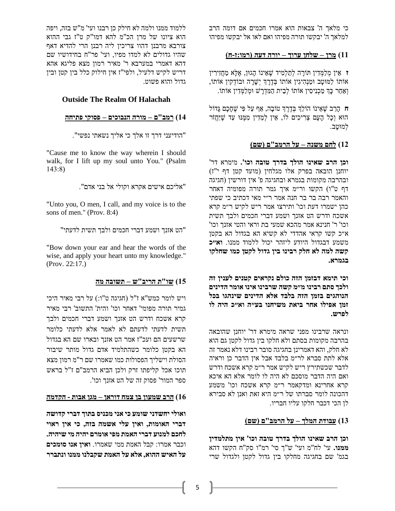כי מלאך ה' צבאות הוא אמרו חכמים אם דומה הרב למלאך ה' יבקשו תורה מפיהו ואם לאו אל יבקשו מפיהו

## **11( מרן – שלחן ערוך – יורה דעה )רמו:ז-ח(**

**ז** אֵ ין מְ לַמְ דִ ין תֹורָ ה לְתַ לְמִ יד ׁשֶ אֵ ינֹו הָ גּון, אֶ לָא מַ חֲזִירִ ין אֹותֹו לַמּוטָב ּומַ נְהִ יגִין אֹותֹו בְ דֶ רֶ ְך יְׁשָ רָ ה ּובֹודְ קִין אֹותֹו, וְאַחַר כַּךְ מַכְנִיסִין אוֹתוֹ לְבֵית הַמְּדְרַשׁ וּמִלַמְּדִין אוֹתוֹ.

**ח** הָרַ ב ׁשֶ אֵ ינֹו הֹולְֵך בְ דֶ רֶ ְך טֹובָה, אַ ף עַל פִ י ׁשֶ חָ כָם גָדֹול הוּא וְכָל הַעֲם צְרִיכִים לֹו, אֵין לְמֵדִין מִמְּנּוּ עַד שֵׁיַחֲזֹר לְמּוטָב.

#### **12( לחם משנה – על הרמב "ם )שם(**

**וכן הרב שאינו הולך בדרך טובה וכו' .** מימרא דר' יוחנן הובאה בפרק אלו מגלחין (מועד קטן דף י"ז) ובהרבה מקומות בגמרא ובחגיגה פ' אין דורשין ) חגיגה דף ט"ו( הקשו ור״מ איך גמר תורה מפומיה דאחר והאמר רבה בר בר חנה אמר ר״י מאי דכתיב כי שפתי כהן ישמרו דעת וכו' ותירצו אמר ריש לקיש ר״מ קרא אשכח ודרש הט אזנך ושמע דברי חכמים ולבך תשית וכו' ר' חנינא אמר מהכא שמעי בת וראי והטי אזנך וכו' א״כ קשו קראי אהדדי לא קשיא הא בגדול הא בקטן משמע דבגדול היודע ליזהר יכול ללמוד ממנו. **וא״כ קשה למה לא חלק רבינו בין גדול לקטן כמו שחלקו בגמרא.**

**וכי תימא דבזמן הזה כולם נקראים קטנים לענין זה ולכך סתם רבינו מ״מ קשה שרבינו אינו אומר הדינים הנוהגים בזמן הזה בלבד אלא הדינים שינהגו בכל זמן אפילו אחר ביאת משיחנו בע״ה וא״כ היה לו לפרש.** 

ונראה שרבינו מפני שראה מימרא דר' יוחנן שהובאה בהרבה מקומות בסתם ולא חלקו בין גדול לקטן גם הוא לא חלק, והא דאמרינן בחגיגה סובר רבינו דלא נאמר זה אלא לתת סברא לר״מ בלבד אבל אין הדבר כן וראיה לדבר שכשתירץ ריש לקיש אמר ר״מ קרא אשכח ודרש ואם היה הדבר מוסכם לא היה לו לומר אלא הא איכא קרא אחרינא ומדקאמר ר״מ קרא אשכח וכו' משמע דהכונה לומר סברתו של ר״מ היא זאת ואנן לא סבירא לן הכי דכבר חלקו עליו חבריו.

#### **13( עבודת ה מלך – על הרמב"ם )שם(**

**וכן הרב שאינו הולך בדרך טובה וכו' אין מתלמדין ממנו.** עי' לח"מ ועי' ש"ך סי' רמ"ו סק"ח הקשו דהא בגמ' שם בחגיגה מחלקו בין גדול לקטן ולגדול שרי

ללמוד ממנו ולמה לא חילק כן רבנו ועי' מ"ש בזה, ויפה הוא ציונו של מרן הכ"מ להא דמו"ק ט"ז גבי ההוא צורבא מרבנן דהוו צריכין ליה רבנן הרי להדיא דאף שהיו גדולים לא למדו מפיו, ועי' פר"ח בחידושיו שם דהא דאמרי במערבא ר' מאיר רמון מצא פליגא אהא דריש לקיש דלעיל, ולפי"ז אין חילוק כלל בין קטן ובין גדול והוא פשוט .

## **Outside The Realm Of Halachah**

#### **14( רמב"ם – מורה ה נבוכים – פסוקי פתיחה**

"הודיעני דרך זו אלך כי אליך נשאתי נפשי".

"Cause me to know the way wherein I should walk, for I lift up my soul unto You." (Psalm 143:8)

"אליכם אישים אקרא וקולי אל בני אדם".

"Unto you, O men, I call, and my voice is to the sons of men." (Prov. 8:4)

"הט אזנך ושמע דברי חכמים ולבך תשית לדעתי"

"Bow down your ear and hear the words of the wise, and apply your heart unto my knowledge." (Prov. 22:17.)

## **15( שו"ת הריב"ש – תשובה מה**

ויש לומר כמש"א ז"ל (חגיגה ט"ו:) על רבי מאיר היכי גמיר תורה מפומי' דאחר וכו' והית' התשוב' רבי מאיר קרא אשכח ודרש הט אזנך ושמע דברי חכמים ולבך תשית לדעתי לדעתם לא לאמר אלא לדעתי כלומר שרשעים הם ועכ"ז אמר הט אזנך ובארו שם הא בגדול הא בקטן כלומר כשהתלמיד אדם גדול מותר שיבור הסולת וישליך הפסולות כמו שאמרו שם ר"מ רמון מצא תוכו אכל קליפתו זרק ולכן הביא הרמב"ם ז"ל בראש ספר המור' פסוק זה של הט אזנך וכו'.

#### **16( הרב שמעון בן צמח דוראן – מגן אבות - הקדמה**

**ואולי יחשדני שומע כי אני מכניס בתוך דברי קדושה דברי האומות, ואין עלי אשמה בזה, כי אין ראוי לחכם למנוע דברי האמת מפי אומרם יהיה מי שיהיה.** וכבר אמרו: קבל האמת ממי שאמרו. **ואין אנו סומכים על האיש ההוא, אלא על האמת שקבלנו ממנו ונתברר**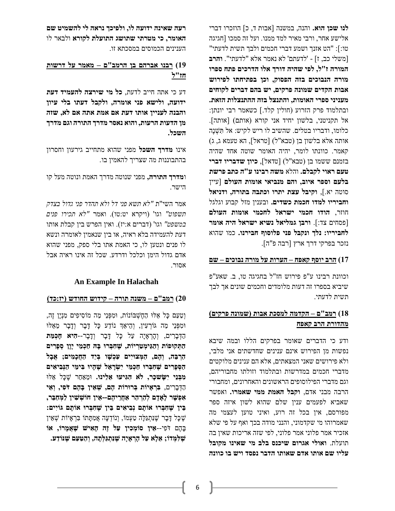**לנו שכן הוא.** והנה, במשנה ]אבות ד, כ[ הוזכרו דברי אלישע אחר, ורבי מאיר למד ממנו. ועל זה סמכו ]חגיגה טו:[: "הט אזנך ושמע דברי חכמים ולבך תשית לדעתי" ]משלי כב, ז[ - 'לדעתם' לא נאמר אלא "לדעתי". **והרב המורה ז"ל, לפי שהיה דורך אלו הדרכים פתח ספרו מורה הנבוכים בזה הפסוק, וכן בפתיחתו לפירוש אבות הקדים שמונה פרקים, יש בהם דברים לקוחים מעניני ספרי האומות, והתנצל בזה ההתנצלות הזאת.** ובתלמוד פרק הזרוע )חולין קלד.[ כשאמר רבי יונתן: אל תקניטני, בלשון יחיד אני קורא )אותם( ]אותה[. כלומו, ודבריו בטלים. שהשיב לו ריש לקיש: אל תִ ׁשְ נֶה אותה אלא בלשון בן (טבא"ל) [טראל], הא טעמא ג, ג) קאמר. כוונתו לומר, יהיה האומר שוטה אחד שהיה בזמנם ששמו בן )טבא"ל( ]טדאל[, **כיון שדבריו דברי טעם ראוי לקבלם.** והלא **משה רבינו ע"ה כתב פרשת בלעם וספר איוב, והם מנביאי אומות העולם** ]עיין סוטה יא.[, **וקיבל עצת יתרו וכתבה בתורה, ודניאל וחביריו למדו חכמת כשדים.** ובענין מזל קבוע וגלגל חוזר, **הודו חכמי ישראל לחכמי אומות העולם** ]פסחים צד:[. **ורבן גמליאל נשיא ישראל היה אומר לחביריו: נלך ונקבל פני פלוסוף חבירנו.** כמו שהוא נזכר בפרקי דרך ארץ ]רבה פ"ה[.

## **17( הרב יוסף קאפח – הערות על מורה נבוכים – שם**

וכוונת רבינו ע"פ פירוש חז"ל בחגיגה טו, ב . שאע"פ שיביא בספרו זה דעות מלומדים וחכמים שונים אך לבך תשית לדעתי .

## **18( רמב"ם – הקדמה למסכת אבות )שמונה פרקים( מהדורת הרב קאפח**

ודע כי הדברים שאומר בפרקים הללו ובמה שיבא נפשות מן הפירוש אינם ענינים שחדשתים אני מלבי, ולא פירושים שאני המצאתים, אלא הם ענינים מלוקטים מדברי חכמים במדרשות ובתלמוד וזולתו מחבוריהם, וגם מדברי הפילוסופים הראשונים והאחרונים, ומחבורי הרבה מבני אדם, **וקבל האמת ממי שאמרו.** ואפשר שאביא לפעמים ענין שלם שהוא לשון איזה ספר מפורסם, אין בכל זה רוע, ואיני טוען לעצמי מה שאמרוהו מי שקדמוני, והנני מודה בכך ואף על פי שלא אזכיר אמר פלוני אמר פלוני, לפי שזה אריכות שאין בה תועלת. **ואולי אגרום שיכנס בלב מי שאינו מקובל עליו שם אותו אדם שאותו הדבר נפסד ויש בו כוונה** 

**רעה שאינה ידועה לו, ולפיכך נראה לי להשמיט שם האומר, כי מטרתי שתושג התועלת לקורא** ולבאר לו הענינים הכמוסים במסכתא זו .

# **19( רבנו אברהם בן הר מב"ם – מאמר על דרשות חז"ל**

דע כי אתה חייב לדעת, **כל מי שירצה להעמיד דעת ידועה, ולישא פני אומרה, ולקבל דעתו בלי עיון והבנה לעניין אותו דעת אם אמת אתה אם לא, שזה מן הדעות הרעות, והוא נאסר מדרך התורה וגם מדרך השכל.**

אינו **מדרך השכל** מפני שהוא מתחייב גירעון וחסרון בהתבוננות מה שצריך להאמין בו.

ו**מדרך התורה,** מפני שנוטה מדרך האמת ונוטה מעל קו הישר.

אמר השי"ת *"לא תשא פני דל ולא תהדר פני גדול בצדק תשפוט"* וגו' )ויקרא יט:טו( . ואמר *"לא תכירו פנים*  ב*משפט"* וגו' (דברים א:יז). ואין הפרש בין קבלת אותו דעת להעמידה בלא ראיה, או בין שנאמין לאומרה ונשא לו פנים ונטען לו, כי האמת אתו בלי ספק, מפני שהוא אדם גדול הימן וכלכל ודרדע. שכל זה אינו ראיה אבל אסור.

## **An Example In Halachah**

## **20( רמב" ם – משנה תורה – קידוש החודש )יז:כד(**

וְטַעַם כָּל אֵלוּ הַחֶשְבּוֹנוֹת, וּמִפְּנֵי מַה מוֹסִיפִים מִנְיָן זֶה, וּמִפְּנֵי מַה גּוֹרְעִין, וְהֵיאַךְ נוֹדַע כָּל דָּבָר וְדָבָר מֵאֵלוּ הַדְ בָרִ ים, וְ הָרְ אָ יָה עַל כָל דָ בָר וְדָ בָר--**הִ יא חָכְ מַ ת הַתְ קּופֹות וְ הַגֵּימְ טַ רְ יֹות, שֶׁ חִ בְ רּו בָ ּה חַכְ מֵּ י יָוָן סְ פָרִ ים הַרְ בֵּ ה, וְ הֶׁ ם, הַ מְ צּויִים עַכְ שָ ו בְ יַד הַחֲכָמִ ים; אֲבָל**  הַסְפָרִים שֶׁחָבְרוּ חַכְמֶי יִשְׂרַאֵל שֵׁהָיוּ בִּימֵי הַנִּבִיאִים **מִבְּנֵי יִשַׂשכְר, לֹא הָגִיעוּ אֵלִינוּ.** וּמֵאַחַר שַׁכַּל אֵלּוּ הַדְּבַרִים, בְּ**רְאֵיוֹת בְּרוּרוֹת הֶם, שְׁאֵין בַּהֶם דֹפִי, וְאֵי אִ פְ שָ ר לָאָ דָ ם לְהַרְ הַר אַ חֲרֵּ יהֶׁ ם--אֵּ ין חֹושְ שִ ין לַמְ חַבֵּר, בֵּ ין שֶׁ חִ בְ רּו אֹותָ ם נְבִ יאִ ים בֵּ ין שֶׁ חִ בְ רּו אֹותָ ם גֹויִים:** ֿשֶׁכָּל דָּבָר שֵׁנִּתְגַּלָּה טַעָמוֹ, וְנוֹדְעָה אֲמִתַּתוֹ בִרְאַיוֹת שָׁאֵין בָ הֶם דֹפִ י--**אֵּ ין סֹומְ כִ ין עַל זֶׁה הָאִ יש שֶׁ אֲמָ רֹו, אֹו שֶׁ לִ מְ דֹו; אֵּ לָא עַל הָרְ אָ יָה שֶׁ נִתְ גַלְתָ ה, וְ הַ טַ עַם שֶׁ נֹודַ ע.**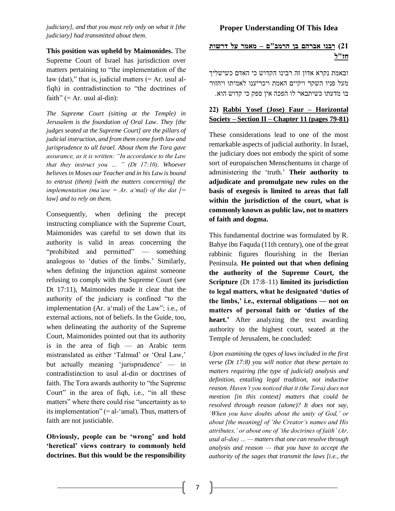*judiciary], and that you must rely only on what it [the judiciary] had transmitted about them.*

**This position was upheld by Maimonides.** The Supreme Court of Israel has jurisdiction over matters pertaining to "the implementation of the law (dat)," that is, judicial matters  $(= Ar.$  usul alfiqh) in contradistinction to "the doctrines of faith"  $(= Ar.$  usul al-din):

*The Supreme Court (sitting at the Temple) in Jerusalem is the foundation of Oral Law. They [the judges seated at the Supreme Court] are the pillars of judicial instruction, and from them come forth law and jurisprudence to all Israel. About them the Tora gave assurance, as it is written: "In accordance to the Law that they instruct you … " (Dt 17:10). Whoever believes in Moses our Teacher and in his Law is bound to entrust (them) [with the matters concerning] the implementation (ma'ase = Ar. a'mal) of the dat*  $\mathcal{I}$ *= law] and to rely on them.*

Consequently, when defining the precept instructing compliance with the Supreme Court, Maimonides was careful to set down that its authority is valid in areas concerning the "prohibited and permitted" — something analogous to 'duties of the limbs.' Similarly, when defining the injunction against someone refusing to comply with the Supreme Court (see Dt 17:11), Maimonides made it clear that the authority of the judiciary is confined "to the implementation (Ar. a'mal) of the Law"; i.e., of external actions, not of beliefs. In the Guide, too, when delineating the authority of the Supreme Court, Maimonides pointed out that its authority is in the area of fiqh — an Arabic term mistranslated as either 'Talmud' or 'Oral Law,' but actually meaning 'jurisprudence' — in contradistinction to usul al-din or doctrines of faith. The Tora awards authority to "the Supreme Court" in the area of fiqh, i.e., "in all these matters" where there could rise "uncertainty as to its implementation" (= al-'amal). Thus, matters of faith are not justiciable.

**Obviously, people can be 'wrong' and hold 'heretical' views contrary to commonly held doctrines. But this would be the responsibility** 

# **21( רבנו אברהם בן הר מב"ם – מאמר על דרשות חז"ל**

ובאמת נקרא אדון זה רבינו הקדוש כי האדם כשישליך מעל פניו השקר ויקיים האמת ויכריענו לאמיתו ויחזור בו מדעתו כשיתבאר לו הפכה אין ספק כי קדוש הוא.

# **22) Rabbi Yosef (Jose) Faur – Horizontal Society – Section II – Chapter 11 (pages 79-81)**

These considerations lead to one of the most remarkable aspects of judicial authority. In Israel, the judiciary does not embody the spirit of some sort of europaischen Menschentums in charge of administering the 'truth.' **Their authority to adjudicate and promulgate new rules on the basis of exegesis is limited to areas that fall within the jurisdiction of the court, what is commonly known as public law, not to matters of faith and dogma.**

This fundamental doctrine was formulated by R. Bahye ibn Faquda (11th century), one of the great rabbinic figures flourishing in the Iberian Peninsula. **He pointed out that when defining the authority of the Supreme Court, the Scripture** (Dt 17:8–11) **limited its jurisdiction to legal matters, what he designated 'duties of the limbs,' i.e., external obligations — not on matters of personal faith or 'duties of the heart.'** After analyzing the text awarding authority to the highest court, seated at the Temple of Jerusalem, he concluded:

*Upon examining the types of laws included in the first verse (Dt 17:8) you will notice that these pertain to matters requiring (the type of judicial) analysis and definition, entailing legal tradition, not inductive reason. Haven't you noticed that it (the Tora) does not mention [in this context] matters that could be resolved through reason (alone)? It does not say, 'When you have doubts about the unity of God,' or about [the meaning] of 'the Creator's names and His attributes,' or about one of 'the doctrines of faith' (Ar. usul al-din) … — matters that one can resolve through analysis and reason — that you have to accept the authority of the sages that transmit the laws [i.e., the*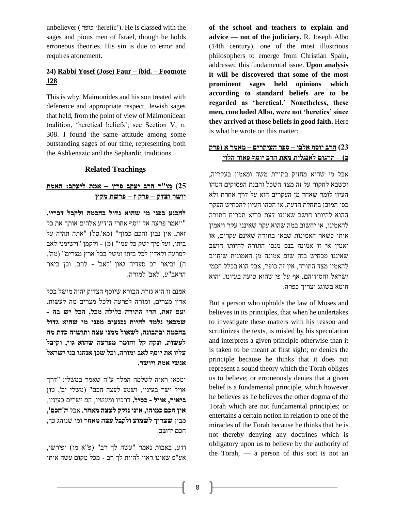unbeliever ( כופר' heretic'). He is classed with the sages and pious men of Israel, though he holds erroneous theories. His sin is due to error and requires atonement.

## **24) Rabbi Yosef (Jose) Faur – ibid. – Footnote 128**

This is why, Maimonides and his son treated with deference and appropriate respect, Jewish sages that held, from the point of view of Maimonidean tradition, 'heretical beliefs'; see Section V, n. 308. I found the same attitude among some outstanding sages of our time, representing both the Ashkenazic and the Sephardic traditions.

## **Related Teachings**

# **25( מו"ר הרב יעקב פרץ – אמת ליעקב: האמת יושר וצדק – פרק ז – פרשת מקץ**

**להכנע בפני מי שהוא גדול בחכמה ולקבל דבריו.** "ויאמר פרעה אל יוסף אחרי הודיע אלהים אותך את כל זאת, אין נבון וחכם כמוך" (מא'.טל) "אתה תהיה על ביתי, ועל פיך ישק כל עמי" (מ) - ולקמן "וישימני לאב לפרעה ולאדון לכל ביתו ומשל בכל ארץ מצרים" )מה'. ח( וביאר רב סעדיה גאון 'לאב' - לרב. וכן ביאר הראב"ע, 'לאב' למורה.

אמנם זו היא גזרת הבורא שיוסף הצדיק יהיה מושל בכל ארץ מצרים, ומורה לפרעה ולכל מצרים מה לעשות. **ועם זאת, הרי התורה כלולה מכל, הכל יש בה - שמכאן נלמד להיות נכנעים מפני מי שהוא גדול בחכמה ובתבונה, לשאול ממנו עצה ותושיה כדת מה לעשות, ונקח קל וחומר מפרעה שהוא גוי, וקיבל עליו את יוסף לאב ומורה, וכל שכן אנחנו בני ישראל אנשי אמת ויושר.** 

ומכאן ראיה לשלמה המלך ע"ה שאמר במשלי: "דרך אויל ישר בעיניו, ושמע לעצה חכם" )משלי יב', טו( **ביאור, אויל - כסיל,** דרכיו ומעשיו, הם ישרים בעיניו, **אין חכם כמוהו, אינו נזקק לעצה מאחר.** אבל **ה'חכם',** מבין **שצריך לשמוע ולקבל עצה מאחר** ומי שנוהג כך, חכם יחשב .

ודע, באבות נאמר "עשה לך רב" )פ"א מו( ופירשו, אע"פ שאינו ראוי להיות לך רב - מכל מקום עשה אותו

**of the school and teachers to explain and advice — not of the judiciary.** R. Joseph Albo (14th century), one of the most illustrious philosophers to emerge from Christian Spain, addressed this fundamental issue. **Upon analysis it will be discovered that some of the most prominent sages held opinions which according to standard beliefs are to be regarded as 'heretical.' Nonetheless, these men, concluded Albo, were not 'heretics' since they arrived at those beliefs in good faith.** Here is what he wrote on this matter:

## **23( הרב יוסף אלבו – ספר העיקרים – מאמר א )פרק ב( – תרגום לאנגלית מאת הרב יוסף פאור הלוי**

אבל מי שהוא מחזיק בתורת משה ומאמין בעקריה, וכשבא לחקור על זה מצד השכל והבנת הפסוקים הטהו העיון לומר שאחד מן העקרים הוא על דרך אחרת ולא כפי המובן בתחלת הדעת, או הטהו העיון להכחיש העקר ההוא להיותו חושב שאיננו דעת בריא תכריח התורה להאמינו, או יחשוב במה שהוא עקר שאיננו עקר ויאמין אותו כשאר האמונות שבאו בתורה שאינם עקרים, או יאמין אי זו אמונה בנס מנסי התורה להיותו חושב שאיננו מכחיש בזה שום אמונה מן האמונות שיחויב להאמין מצד התורה, אין זה כופר, אבל הוא בכלל חכמי ישראל וחסידיהם, אף על פי שהוא טועה בעיונו, והוא חוטא בשוגג וצריך כפרה .

But a person who upholds the law of Moses and believes in its principles, that when he undertakes to investigate these matters with his reason and scrutinizes the texts, is misled by his speculation and interprets a given principle otherwise than it is taken to be meant at first sight; or denies the principle because he thinks that it does not represent a sound theory which the Torah obliges us to believe; or erroneously denies that a given belief is a fundamental principle, which however he believes as he believes the other dogma of the Torah which are not fundamental principles; or entertains a certain notion in relation to one of the miracles of the Torah because he thinks that he is not thereby denying any doctrines which is obligatory upon us to believe by the authority of the Torah, — a person of this sort is not an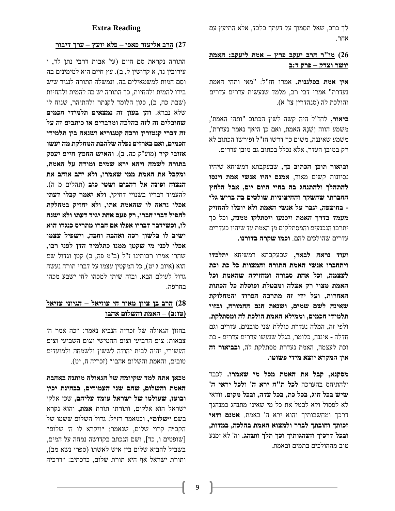לך כרב, שאל תסמוך על דעתך בלבד, אלא התיעץ עם אחר.

# **26( מו"ר הרב יעקב פרץ – אמת ליעקב: האמת יושר וצדק – פרק ד:ב**

**אין אמת בפלגנות.** אמרו חז"ל: "מאי ותהי האמת נעדרת" אמרי דבי רב, מלמד שנעשית עדרים עדרים והולכת לה )סנהדרין צז' א(.

**ביאור,** לחז"ל היה קשה לשון הכתוב "ותהי האמת', משמע הווה יִׁשְ נָּה האמת, ואם כן היאך נאמר נעדרת', משמע שאיננה, משום כך דרשו חז"ל ופירשו הכתוב לא רק במובן העדר, אלא נכלל בכתוב גם מובן עדרים.

**וביאור תוכן הכתוב כך,** שבעקבתא דמשיחא שיהיו נסיונות קשים מאוד, **אמנם יהיו אנשי אמת וינסו להתהלך ולהתנהג בה בחיי היום יום, אבל הלחץ החברתי שהשקר והחיצוניות שולטים בה בריש גלי - בחוצפה, יגבר על אנשי האמת ולא יוכלו להחזיק מעמד בדרך האמת ויכנעו ויסתלקו ממנה,** וכל כך יתרבו הנכנעים והמסתלקים מן האמת עד שיהיו כעדרים עדרים שהולכים להם. **וכמו שקרה בדורנו.** 

**ועוד נראה לבאר,** שבעקבתא דמשיחא **יתלכדו ויתחברו אנשי האמת התורה והמצוות כל כת וכת לעצמה, וכל אחת סבורה ומחזיקה שהאמת וכל האמת מצוי רק אצלה ומבטלת ופוסלת כל הכתות האחרות, ועל ידי זה מתרבה הפרוד והמחלוקת שאינה לשם שמים, ושנאת חנם החמורה, ובזוי תלמידי חכמים, וממילא האמת הולכת לה ומסתלקת.**  ולפי זה, המלה נעדרת כוללת שני מובנים, עדרים וגם חדלה - איננה, כלומר, בגלל שנעשו עדרים עדרים - כת וכת לעצמה, האמת נעדרת מסתלקת לה, **ובביאור זה אין המקרא יוצא מידי פשוטו.**

**מסקנא, קבל את האמת מכל מי שאמרו.** לכבד ולהתיחס בהערכה **לכל ת"ח ירא ה' ולכל יראי ה' שיש בכל חוג, בכל כת, בכל עדה, ובכל מקום.** וודאי לא לפסול ולא לבטל את כל מי שאינו מתנהג כמנהגך דרכך ומחשבותיך והוא ירא ה' באמת. **אמנם ודאי זכותך וחובתך לברר ולמצוא האמת בהלכה, במדות, ובכל דרכיך והנהגותיך וכך תלך ותנהג.** וה' לא ימנע טוב מההולכים בתמים ובאמת.

## **Extra Reading**

#### **27( הרב אליעזר פאפו – פלא יועץ – ערך דיבור**

התורה נקראת סם חיים )עי' אבות דרבי נתן לד, י עירוביו נד, א קדושיו ל, ב), עץ חיים היא למימינים בה וסם המות למשמאילים בה . ונמשלה התורה לנגיד שיש בידו להמית ולהחיות, כך התורה יש בה להמית ולהחיות )שבת כח, ב(, כגון הלומד לקנתר ולהתיהר, שנוח לו שלא נברא. **והן בעון זה נמצאים תלמידי חכמים שחובלים זה לזה בהלכה ומדברים או כותבים זה על זה דברי קנטורין ורבה קטגוריא ושנאה בין תלמידי חכמים, ואם בארזים נפלה שלהבת המחלקת מה יעשו אזובי קיר** )מוע''ק כה, ב(. **והאיש החפץ חיים יעסק בתורה לשמה ויהא ירא שמים ומודה על האמת, ומקבל את האמת ממי שאמרו, ולא יהב אוהב את הנצוח ופונה אל רהבים ושטי כזב** )תהלים מ ה(. להעמיד דבריו בשנויי דחיקי, **ולא יאמר קבלו דעתי אפלו נראה לו שהאמת אתו, ולא יחזיק במחלקת להפיל דברי חברו, רק פעם אחת יגיד דעתו ולא ישנה לו, וכשידבר דבריו אפלו אם חברו מתריס כנגדו הוא ישיב לו בלשון רכה ואהבה וחבה, וישפיל עצמו אפלו לפני מי שקטן ממנו כתלמיד הדן לפני רבו,** שהרי אמרו רבותינו ז"ל (ב"מ פה, ב) קטן וגדול שם הוא )איוב ג יט(, כל המקטין עצמו על דברי תורה נעשה גדול לעולם הבא. ובזה שיתן למכהו לחי ישבע מכהו בחרפה.

# **28( הרב בן ציון מאיר חי עוזיאל – הגיוני עזיאל )טו:ב( – האמת והשלום אהבו**

בחזון הגאולה של זכריה הנביא נאמר: ״כה אמר ה׳ צבאות: צום הרביעי וצום החמישי וצום השביעי וצום העשירי, יהיה לבית יהודה לששון ולשמחה ולמועדים טובים, והאמת והשלום אהבו״ )זכריה ח, יט(.

**מכאן אתה למד שקיומה של הגאולה מותנה באהבת האמת והשלום, שהם שני העמודים, בבחינת יכין ובועז, שעולמו של ישראל עומד עליהם,** שכן אלקי ישראל הוא אלקים, ותורתו תורת **אמת,** והוא נקרא בשם **״שלום״,** וכמאמר רז״ל: גדול השלום ששמו של הקב״ה קרוי שלום, שנאמר: ״ויקרא לו ה׳ שלום״ ]שופטים ו, כד[, ושם הנכתב בקדושה נמחה על המים, בשביל להביא שלום בין איש לאשתו (ספרי נשא מב), ותורת ישראל אף היא תורת שלום, כדכתיב: ״דרכיה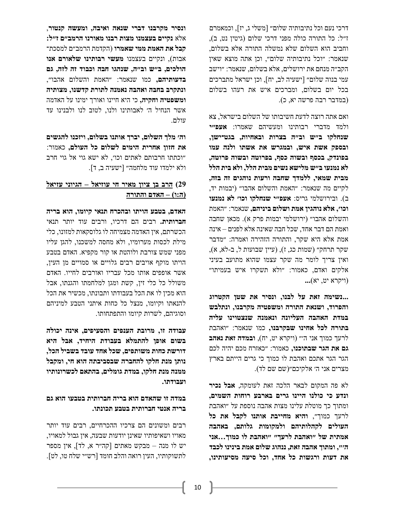דרכי נעם וכל נתיבותיה שלום״ ]משלי ג, יז[, וכמאמרם ז״ל: כל התורה כולה מפני דרכי שלום )גיטין נט, ב(, וחביב הוא השלום שלא נמשלה התורה אלא בשלום, שנאמר: ״וכל נתיבותיה שלום״, וכן אתה מוצא שאין הקב״ה מנחם את ירושלים, אלא בשלום, שנאמר: ״וישב עמי בנוה שלום״ ]ישעיה לב, יח[, וכן ישראל מתברכים בכל יום בשלום, ומברכים איש את רעהו בשלום )במדבר רבה פרשה יא, כ(.

ואם אתה רוצה לדעת חשיבותו של השלום בישראל, צא ולמד מדברי רבותינו ומעשיהם שאמרו: **אעפ״י שנחלקו ב״ש וב״ה בצרות ובאחיות, בגט־ישן, ובספק אשת איש, ובמגרש את אשתו ולנה עמו בפונדק, בכסף ובשוה כסף, בפרוטה ובשוה פרוטה, לא נמנעו ב״ש מלישא נשים מבית הלל, ולא בית הלל מבית שמאי, ללמדך שחבה ורעות נוהגים זה בזה,** לקיים מה שנאמר: ״האמת והשלום אהבו״ )יבמות יד, ב(. ובירושלמי גריס: **אעפ״י שנחלקו וכו׳ לא נמנעו וכו׳, אלא נוהגין אמת ושלום ביניהם,** שנאמר: ״האמת והשלום אהבו״ )ירושלמי יבמות פרק א(. מכאן שחבה ואמת הם דבר אחד, שכל חבה שאינה אלא לפנים – אינה אמת אלא היא שקר, והתורה הזהירה ואמרה: ״מדבר שקר תרחק" (שמות כג, ז), (עיין שבועות ל, ב-לא, א), ואין צריך לומר מה שקר עצמו שהוא מתועב בעיני אלקים ואדם, כאמור: ״ולא תשקרו איש בעמיתו״ )ויקרא יט, יא( **...** 

**...נשימה זאת על לבנו, ונסיר את שטן הקטרוג והפרוד, ושנאת התורה ומשפטיה מקרבנו, ונתלבש במדת האהבה העליונה ונאמנה שנצטוינו עליה בתורה לכל אחינו שבקרבנו,** כמו שנאמר: ״ואהבת לרעך כמוך אני ה׳״ )ויקרא יט, יח(, **ובמדה זאת נאהב גם את הגר שבתוכנו,** כאמור: ״כאזרח מכם יהיה לכם הגר הגר אתכם ואהבת לו כמוך כי גרים הייתם בארץ מצרים אני ה׳ אלקיכם״(שם שם לד).

לא פה המקום לבאר הלכה זאת לעומקה, **אבל נכיר ונדע כי כולנו היינו גרים בארבע רוחות השמים,**  ומתוך כך מוטלת עלינו מצות אהבה נוספת על ״ואהבת לרעך כמוך״, **והיא מחייבת אותנו לקבל את כל העולים לקהלותיהם ולמקומות גלותם, באהבה אמתית של ״ואהבת לרעך״ ״ואהבת לו כמוך...אני ה׳״, ומתוך אהבה זאת, ננהוג שלום אמת בינינו לכבד את דעות ורגשות כל אחד, וכל סיעה מסיעותינו,** 

**ונסיר מקרבנו דברי שנאה ואיבה, ומעשה קנטור**, אלא **נקיים בעצמנו מצות רבנו מאורנו הרמב״ם ז״ל: קבל את האמת ממי שאמרו** )הקדמת הרמב״ם למסכת־ אבות(, ונקיים בעצמנו **מעשי רבותינו שלאורם אנו הולכים, ב״ש וב״ה, שנהגו חבה וכבוד זה לזה, גם בדעותיהם,** כמו שנאמר: ״האמת והשלום אהבו״, **ונתקרב בחבה ואהבה נאמנה לתורת קדשנו, מצותיה ומשפטיה וחקיה,** כי היא חיינו ואורך ימינו על האדמה אשר הנחיל ה׳ לאבותינו ולנו, לטוב לנו ולבנינו עד עולם.

**וה׳ מלך השלום, יברך אותנו בשלום, ויזכנו להגשים את חזון אחרית הימים לשלום כל העולם,** כאמור: ״וכתתו חרבותם לאתים וכו׳, לא ישא גוי אל גוי חרב ולא ילמדו עוד מלחמה״ ]ישעיה ב, ד[.

# **29( הרב בן ציון מאיר חי עוזיאל – הגיוני עזיאל )ה:ו( – האדם והתורה**

**האדם, בטבע הויתו ובהכרח תנאי קיומו, הוא בריה חברותית.** רבים הם דרכיו, ורבים עוד יותר תנאי הכשרתם, אין האדמה מצמיחה לו גלוסקאות למזונו, כלי מילת לכסות מערומיו, ולא מחסה למשכנו, להגן עליו מפני שמש צורבת ולוהטת או קור מקפיא. האדם בטבע הויתו מוקף אויבים רבים גלויים או סמויים מן העין, אשר אופפים אותו מכל עבריו ואורבים לחייו. האדם משולל כל כלי זין, קשת ומגן למלחמתו והגנתו, אבל הוא מכין לו את הכל בעבודתו ותבונתו, מכשיר את הכל להנאתו וקיומו, מנצל כל כחות איתני הטבע למיניהם וסוגיהם, לשרות קיומו והתפתחותו.

**עבודה זו, מרובת הענפים והסעיפים, אינה יכולה בשום אופן להתמלא בעבודת היחיד, אבל היא דורשת כחות משותפים, שכל אחד עובד בשביל הכל, נותן מנת חלקו להחברה שבסביבתה הוא חי, ומקבל ממנה מנת חלקו, במדת גומלים, בהתאם לכשרונותיו ועבודתו.**

# **במדה זו שהאדם הוא בריה חברותית בטבעו הוא גם בריה אנטי חברותית בטבע תכונתו.**

רבים ומשונים הם צרכיו ההכרחיים, רבים עוד יותר מאויו ושאיפותיו שאינן יודעות שבעה, אין גבול למאויו, יש לו מנה – מבקש מאתים ]קה״ר א, לד[, אין מספר לתשוקותיו, העין רואה והלב חומד ]רש״י שלח טו, לט[.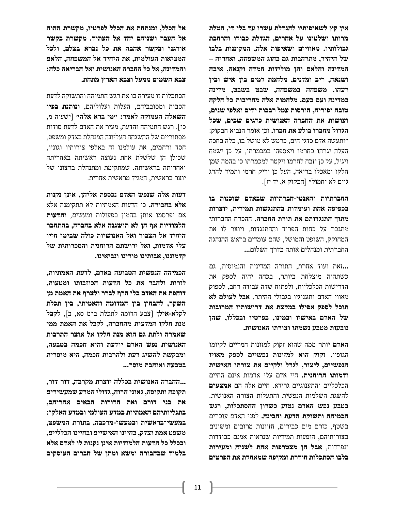**אין קץ לשאיפותיו להגדלת עשרו עד בלי די, הטלת מרותו ושלטונו על אחרים, הגדלת כבודו והרחבת גבולותיו. מאוויים ושאיפות אלה, המקוננות בלבו של היחיד, מתרחבות גם בחוג המשפחה, ואחריה – המדינה והלאם והן מולידות חמדה וקנאה, איבה ושנאה, ריב ומדנים, מלחמת דמים בין איש ובין רעהו, משפחה במשפחה, שבט בשבט, מדינה במדינה ועם בעם. מלחמות אלה מחריבות כל חלקה טובה ופוריה, הורסות עמל רבבות ידים ואלפי שנים, ועושות את החברה האנושית כדגים שבים, שכל הגדול מחברו בולע את חברו .** וכן אומר הנביא חבקוק: ״ותעשה אדם כדגי הים, כרמש לא מושל בו, כלה בחכה העלה יגרהו בחרמו ויאספהו במכמרתו, על כן ישמח ויגיל, על כן יזבח לחרמו ויקטר למכמרתו כי בהמה שמן חלקו ומאכלו בריאה, העל כן יריק חרמו ותמיד להרג גוים לא יחמול״ ]חבקוק א, יד יז[.

**החברתיות והאנטי -חברתיות שבאדם שוכנות בו בכפיפה אחת ועומדות בהתנגשות תמידית, יוצרות מתוך התנגדותם את תורת החברה .** ההכרח החברותי מתגבר על כחות הפרוד וההתנגדות, ויוצר לו את המחוקק, השופט והמושל, שהם עומדים בראש ההנהגה החברתית ומנהלים אותה בדרך השלום**. ..** 

**...**זאת ועוד אחרת, התורה המדינית והנמוסית, גם כשתהיה מוצלחת ביותר, בכחה יהיה לספק את הדרישות הכלכליות, ולפתוח שדה עבודה רחב, לספוק מאווי האדם ותענוגיו בגבולי ההיתר, **אבל לעולם לא תוכל לספק אפילו במקצת את דרישותיו המרובות של האדם באישיו ובמינו, בפרטיו ובכללו, שהן נובעות מטבע נשמתו וצורתו האנושית .** 

**האדם** יותר ממה שהוא זקוק למזונות חמריים לקיומו הגופיי, **זקוק הוא למזונות נפשיים לספק מאויו הנפשיים, ליצור, לגדל ולקיים את צורתו האישית ודמותו הרוחנית.** חיי אדם עלי אדמות אינם החיים הכלכליים והתענוגיים גרידא. חיים אלה הם **אמצעים** להשגת השלמות הנפשית והתעלות הצורה האנושית. **בטבע נפש האדם נטוע כשרון ההסתכלות, רגש הכמיהה ותשוקת הדעת והבינה .** לפני האדם עוברים בשטף, כזרם מים כבירים, חזיונות מרובים ומשונים בצורותיהם, הופעות תמידיות שנראות אמנם כבודדות ונפרדות, **אבל הן מצטרפות אחת לשניה ומעירות בלבו הסתכלות חודרת ומקיפה שמאחדת את הפרטים** 

**אל הכלל, ומנתחת את הכלל לפרטיו, מקשרת ההוה אל העבר ושניהם יחד אל העתיד. מקשרת בקשר אורגני ובקשר אהבה את כל נברא בצלם, ולכל המציאות העולמית, את היחיד אל המשפחה, הלאם והמדינה, אל כל החברה האנושית ואל הבריאה כלה: צבא השמים ממעל וצבא הארץ מתחת .** 

הסתכלות זו מעירה בו את רגש התמיהה והתשוקה לדעת הסבות ומסובביהם, העלות ועלוליהם, **ונותנת בפיו השאלה העמוקה לאמר: ״מי ברא אלה״** ]ישעיה מ, כו[. רגש התמיהה והדעת, מעיר את האדם לדעת סודות מסתוריים של ההשגחה העליונה המנהלת בצדק ומשפט, חסד ורחמים, את עולמנו זה באלפי צורותיו וגוניו, שכולן הן שלשלת אחת נעוצה ראשיתה באחריתה ואחריתה בראשיתה, שמתקימת ומתנהלת ברצונו של יוצר בראשית, המגיד מראשית אחרית.

**דעות אלה שנפש האדם נכספת אליהן, אינן נקנות אלא בחבורה.** כי הדעות האמתיות לא תתקימנה אלא אם יפרסמו אותן בהמון בפעולות ומעשים, **והדעות הלמודיות אף הן לא תושגנה אלא בחברה, בהתחבר היחיד אל הצבור ואל האנושיות כולה שבימי חייו עלי אדמות, ואל ירושתם הרוחנית והספרותית של קדמוננו, אבותינו מורינו ונביאינו.** 

**הכמיהה הנפשית הטבועה באדם, לדעת האמתיות, לזרות ולהבר את כל הדעות הכוזבותו ומטעות, דוחפת את האדם בלי הרף לברר ולצרף את האמת מן השקר, להבחין בין המדומה והאמיתי, בין תכלת לקלא-אילן** ]צבע הדומה לתכלת ב״מ סא, ב[, **לקבל מנת חלקו המדעית מהחברה, לקבל את האמת ממי שאמרה ולתת גם הוא מנת חלקו אל אוצר התרבות האנושית נפש האדם יודעת והיא חכמה בטבעה, ומבקשת להשיג דעת ולהרבות חכמה, היא מוסרית בטבעה ואוהבת מוסר...** 

**...החברה האנושית בכללה יוצרת מקרבה, דור דור, תקופה ותקופה, גאוני הרוח, גדולי המדע שמעשירים את בני דורם ואת הדורות הבאים אחריהם, בתגליותיהם האמתיות במדע העולמי ובמדע האלקי: במעשי־בראשית ובמעשי-מרכבה, בתורת המשפט, משפט אמת וצדק, בחיינו האישיים ובחיינו הכלליים, ובכלל כל הדעות הלמודיות אינן נקנות לו לאדם אלא בלמוד שבחבורה ומשא ומתן של חברים העוסקים**